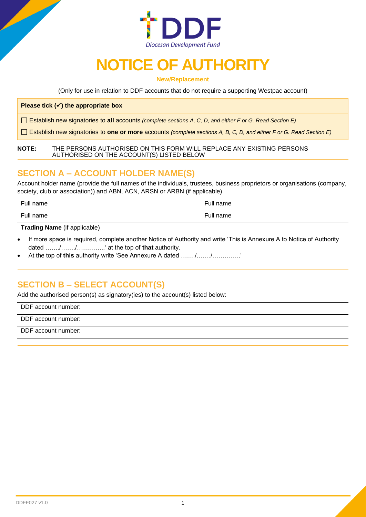

# **NOTICE OF AUTHORITY**

**New/Replacement**

(Only for use in relation to DDF accounts that do not require a supporting Westpac account)

#### **Please tick (**✓**) the appropriate box**

Establish new signatories to **all** accounts *(complete sections A, C, D, and either F or G. Read Section E)*

Establish new signatories to **one or more** accounts *(complete sections A, B, C, D, and either F or G. Read Section E)*

#### **NOTE:** THE PERSONS AUTHORISED ON THIS FORM WILL REPLACE ANY EXISTING PERSONS AUTHORISED ON THE ACCOUNT(S) LISTED BELOW

## **SECTION A – ACCOUNT HOLDER NAME(S)**

Account holder name (provide the full names of the individuals, trustees, business proprietors or organisations (company, society, club or association)) and ABN, ACN, ARSN or ARBN (if applicable)

| Full name                      | Full name |
|--------------------------------|-----------|
| Full name                      | Full name |
| . .<br>$\sim$<br>$\cdots$<br>. |           |

**Trading Name** (if applicable)

- If more space is required, complete another Notice of Authority and write 'This is Annexure A to Notice of Authority dated ……./……./…………..' at the top of **that** authority.
- At the top of **this** authority write 'See Annexure A dated ……./……./…………..'

# **SECTION B – SELECT ACCOUNT(S)**

Add the authorised person(s) as signatory(ies) to the account(s) listed below:

DDF account number:

DDF account number:

DDF account number: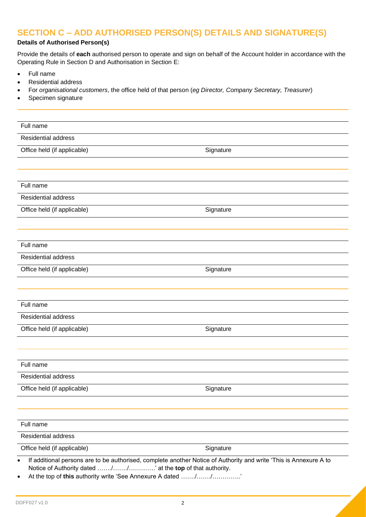# **SECTION C – ADD AUTHORISED PERSON(S) DETAILS AND SIGNATURE(S)**

## **Details of Authorised Person(s)**

Provide the details of **each** authorised person to operate and sign on behalf of the Account holder in accordance with the Operating Rule in Section D and Authorisation in Section E:

- Full name
- Residential address
- For *organisational customers*, the office held of that person (*eg Director, Company Secretary, Treasurer*)
- Specimen signature

| Full name                   |           |
|-----------------------------|-----------|
| <b>Residential address</b>  |           |
| Office held (if applicable) | Signature |
|                             |           |
|                             |           |
| Full name                   |           |
| <b>Residential address</b>  |           |
| Office held (if applicable) | Signature |
|                             |           |
|                             |           |
| Full name                   |           |
| <b>Residential address</b>  |           |
| Office held (if applicable) | Signature |
|                             |           |
|                             |           |
| Full name                   |           |
| <b>Residential address</b>  |           |
| Office held (if applicable) | Signature |
|                             |           |
|                             |           |
| Full name                   |           |
| <b>Residential address</b>  |           |
| Office held (if applicable) | Signature |
|                             |           |
| Full name                   |           |
| <b>Residential address</b>  |           |
| Office held (if applicable) | Signature |

• At the top of **this** authority write 'See Annexure A dated ……./……./…………..'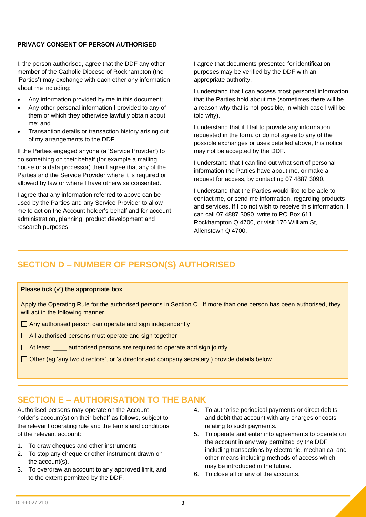## **PRIVACY CONSENT OF PERSON AUTHORISED**

I, the person authorised, agree that the DDF any other member of the Catholic Diocese of Rockhampton (the 'Parties') may exchange with each other any information about me including:

- Any information provided by me in this document;
- Any other personal information I provided to any of them or which they otherwise lawfully obtain about me; and
- Transaction details or transaction history arising out of my arrangements to the DDF.

If the Parties engaged anyone (a 'Service Provider') to do something on their behalf (for example a mailing house or a data processor) then I agree that any of the Parties and the Service Provider where it is required or allowed by law or where I have otherwise consented.

I agree that any information referred to above can be used by the Parties and any Service Provider to allow me to act on the Account holder's behalf and for account administration, planning, product development and research purposes.

I agree that documents presented for identification purposes may be verified by the DDF with an appropriate authority.

I understand that I can access most personal information that the Parties hold about me (sometimes there will be a reason why that is not possible, in which case I will be told why).

I understand that if I fail to provide any information requested in the form, or do not agree to any of the possible exchanges or uses detailed above, this notice may not be accepted by the DDF.

I understand that I can find out what sort of personal information the Parties have about me, or make a request for access, by contacting 07 4887 3090.

I understand that the Parties would like to be able to contact me, or send me information, regarding products and services. If I do not wish to receive this information, I can call 07 4887 3090, write to PO Box 611, Rockhampton Q 4700, or visit 170 William St, Allenstown Q 4700.

# **SECTION D – NUMBER OF PERSON(S) AUTHORISED**

#### **Please tick (**✓**) the appropriate box**

Apply the Operating Rule for the authorised persons in Section C. If more than one person has been authorised, they will act in the following manner:

 $\overline{\phantom{a}}$  ,  $\overline{\phantom{a}}$  ,  $\overline{\phantom{a}}$  ,  $\overline{\phantom{a}}$  ,  $\overline{\phantom{a}}$  ,  $\overline{\phantom{a}}$  ,  $\overline{\phantom{a}}$  ,  $\overline{\phantom{a}}$  ,  $\overline{\phantom{a}}$  ,  $\overline{\phantom{a}}$  ,  $\overline{\phantom{a}}$  ,  $\overline{\phantom{a}}$  ,  $\overline{\phantom{a}}$  ,  $\overline{\phantom{a}}$  ,  $\overline{\phantom{a}}$  ,  $\overline{\phantom{a}}$ 

- $\Box$  Any authorised person can operate and sign independently
- $\Box$  All authorised persons must operate and sign together
- $\Box$  At least  $\Box$  authorised persons are required to operate and sign jointly
- $\Box$  Other (eg 'any two directors', or 'a director and company secretary') provide details below

# **SECTION E – AUTHORISATION TO THE BANK**

Authorised persons may operate on the Account holder's account(s) on their behalf as follows, subject to the relevant operating rule and the terms and conditions of the relevant account:

- 1. To draw cheques and other instruments
- 2. To stop any cheque or other instrument drawn on the account(s).
- 3. To overdraw an account to any approved limit, and to the extent permitted by the DDF.
- 4. To authorise periodical payments or direct debits and debit that account with any charges or costs relating to such payments.
- 5. To operate and enter into agreements to operate on the account in any way permitted by the DDF including transactions by electronic, mechanical and other means including methods of access which may be introduced in the future.
- 6. To close all or any of the accounts.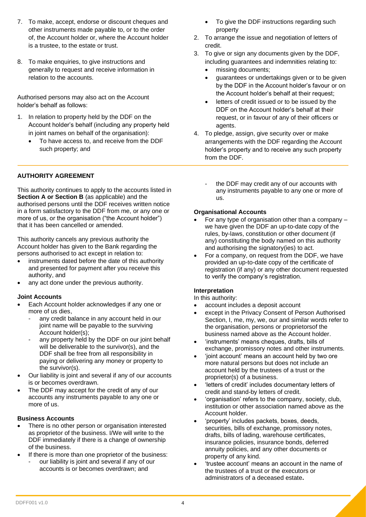- 7. To make, accept, endorse or discount cheques and other instruments made payable to, or to the order of, the Account holder or, where the Account holder is a trustee, to the estate or trust.
- 8. To make enquiries, to give instructions and generally to request and receive information in relation to the accounts.

Authorised persons may also act on the Account holder's behalf as follows:

- 1. In relation to property held by the DDF on the Account holder's behalf (including any property held in joint names on behalf of the organisation):
	- To have access to, and receive from the DDF such property; and

## **AUTHORITY AGREEMENT**

This authority continues to apply to the accounts listed in **Section A or Section B** (as applicable) and the authorised persons until the DDF receives written notice in a form satisfactory to the DDF from me, or any one or more of us, or the organisation ("the Account holder") that it has been cancelled or amended.

This authority cancels any previous authority the Account holder has given to the Bank regarding the persons authorised to act except in relation to:

- instruments dated before the date of this authority and presented for payment after you receive this authority, and
- any act done under the previous authority.

#### **Joint Accounts**

- Each Account holder acknowledges if any one or more of us dies,
	- any credit balance in any account held in our joint name will be payable to the surviving Account holder(s);
	- any property held by the DDF on our joint behalf will be deliverable to the survivor(s), and the DDF shall be free from all responsibility in paying or delivering any money or property to the survivor(s).
- Our liability is joint and several if any of our accounts is or becomes overdrawn.
- The DDF may accept for the credit of any of our accounts any instruments payable to any one or more of us.

#### **Business Accounts**

- There is no other person or organisation interested as proprietor of the business. I/We will write to the DDF immediately if there is a change of ownership of the business.
- If there is more than one proprietor of the business: our liability is joint and several if any of our accounts is or becomes overdrawn; and
- To give the DDF instructions regarding such property
- 2. To arrange the issue and negotiation of letters of credit.
- 3. To give or sign any documents given by the DDF, including guarantees and indemnities relating to:
	- missing documents;
	- guarantees or undertakings given or to be given by the DDF in the Account holder's favour or on the Account holder's behalf at their request;
	- letters of credit issued or to be issued by the DDF on the Account holder's behalf at their request, or in favour of any of their officers or agents.
- 4. To pledge, assign, give security over or make arrangements with the DDF regarding the Account holder's property and to receive any such property from the DDF.
	- the DDF may credit any of our accounts with any instruments payable to any one or more of us.

## **Organisational Accounts**

- For any type of organisation other than a company we have given the DDF an up-to-date copy of the rules, by-laws, constitution or other document (if any) constituting the body named on this authority and authorising the signatory(ies) to act.
- For a company, on request from the DDF, we have provided an up-to-date copy of the certificate of registration (if any) or any other document requested to verify the company's registration.

## **Interpretation**

In this authority:

- account includes a deposit account
- except in the Privacy Consent of Person Authorised Section, I, me, my, we, our and similar words refer to the organisation, persons or proprietorsof the business named above as the Account holder.
- 'instruments' means cheques, drafts, bills of exchange, promissory notes and other instruments.
- 'joint account' means an account held by two ore more natural persons but does not include an account held by the trustees of a trust or the proprietor(s) of a business.
- 'letters of credit' includes documentary letters of credit and stand-by letters of credit.
- 'organisation' refers to the company, society, club, institution or other association named above as the Account holder.
- 'property' includes packets, boxes, deeds, securities, bills of exchange, promissory notes, drafts, bills of lading, warehouse certificates, insurance policies, insurance bonds, deferred annuity policies, and any other documents or property of any kind.
- 'trustee account' means an account in the name of the trustees of a trust or the executors or administrators of a deceased estate**.**